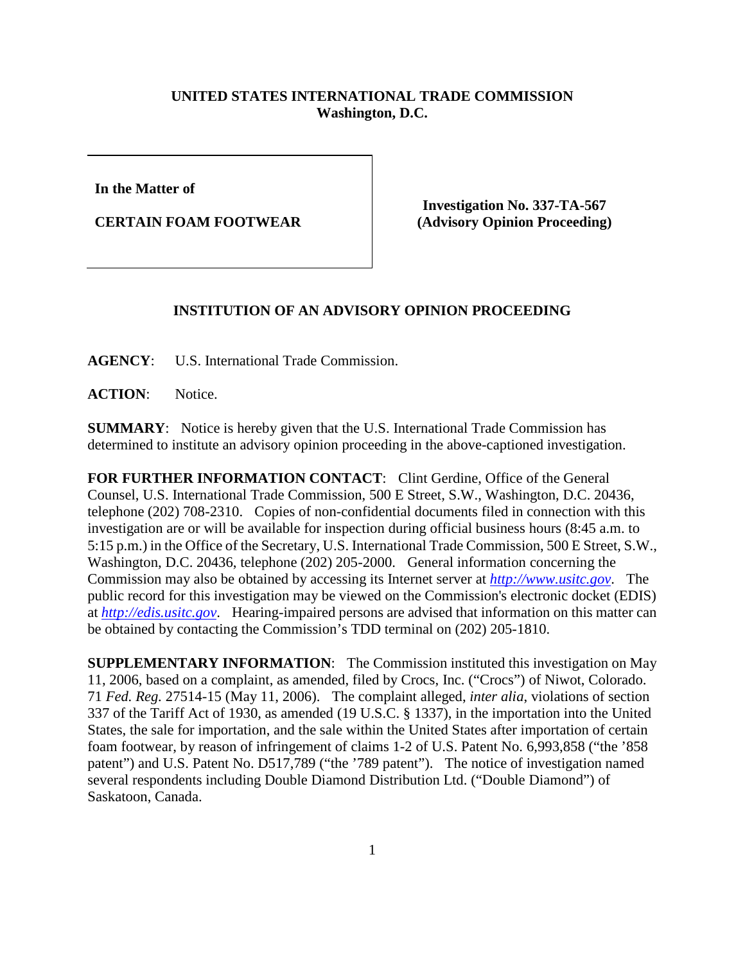## **UNITED STATES INTERNATIONAL TRADE COMMISSION Washington, D.C.**

**In the Matter of** 

**CERTAIN FOAM FOOTWEAR**

**Investigation No. 337-TA-567 (Advisory Opinion Proceeding)**

## **INSTITUTION OF AN ADVISORY OPINION PROCEEDING**

**AGENCY**: U.S. International Trade Commission.

**ACTION**: Notice.

**SUMMARY**: Notice is hereby given that the U.S. International Trade Commission has determined to institute an advisory opinion proceeding in the above-captioned investigation.

**FOR FURTHER INFORMATION CONTACT**: Clint Gerdine, Office of the General Counsel, U.S. International Trade Commission, 500 E Street, S.W., Washington, D.C. 20436, telephone (202) 708-2310. Copies of non-confidential documents filed in connection with this investigation are or will be available for inspection during official business hours (8:45 a.m. to 5:15 p.m.) in the Office of the Secretary, U.S. International Trade Commission, 500 E Street, S.W., Washington, D.C. 20436, telephone (202) 205-2000. General information concerning the Commission may also be obtained by accessing its Internet server at *[http://www.usitc.gov](http://www.usitc.gov/)*. The public record for this investigation may be viewed on the Commission's electronic docket (EDIS) at *[http://edis.usitc.gov](http://edis.usitc.gov/)*. Hearing-impaired persons are advised that information on this matter can be obtained by contacting the Commission's TDD terminal on (202) 205-1810.

**SUPPLEMENTARY INFORMATION**: The Commission instituted this investigation on May 11, 2006, based on a complaint, as amended, filed by Crocs, Inc. ("Crocs") of Niwot, Colorado. 71 *Fed. Reg.* 27514-15 (May 11, 2006). The complaint alleged, *inter alia*, violations of section 337 of the Tariff Act of 1930, as amended (19 U.S.C. § 1337), in the importation into the United States, the sale for importation, and the sale within the United States after importation of certain foam footwear, by reason of infringement of claims 1-2 of U.S. Patent No. 6,993,858 ("the '858 patent") and U.S. Patent No. D517,789 ("the '789 patent"). The notice of investigation named several respondents including Double Diamond Distribution Ltd. ("Double Diamond") of Saskatoon, Canada.